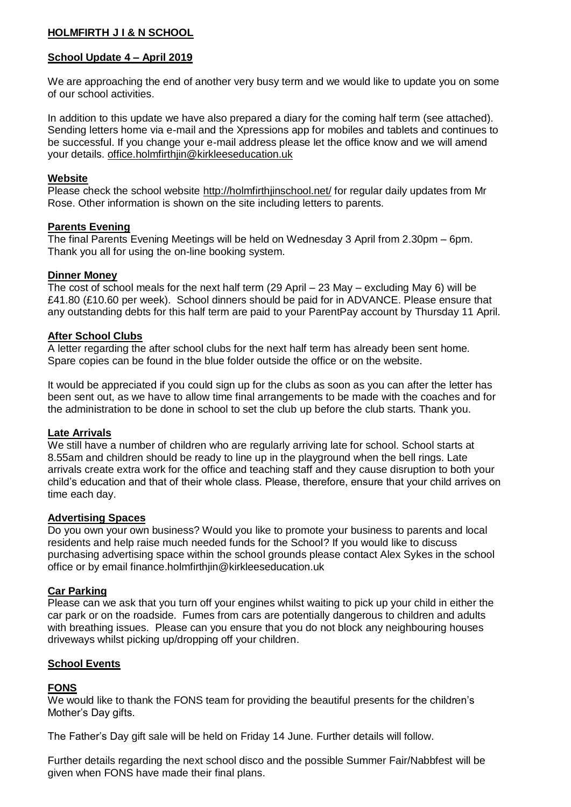# **HOLMFIRTH J I & N SCHOOL**

# **School Update 4 – April 2019**

We are approaching the end of another very busy term and we would like to update you on some of our school activities.

In addition to this update we have also prepared a diary for the coming half term (see attached). Sending letters home via e-mail and the Xpressions app for mobiles and tablets and continues to be successful. If you change your e-mail address please let the office know and we will amend your details. [office.holmfirthjin@kirkleeseducation.uk](mailto:office.holmfirthjin@kirkleeseducation.uk)

### **Website**

Please check the school website<http://holmfirthjinschool.net/> for regular daily updates from Mr Rose. Other information is shown on the site including letters to parents.

### **Parents Evening**

The final Parents Evening Meetings will be held on Wednesday 3 April from 2.30pm – 6pm. Thank you all for using the on-line booking system.

## **Dinner Money**

The cost of school meals for the next half term (29 April – 23 May – excluding May 6) will be £41.80 (£10.60 per week). School dinners should be paid for in ADVANCE. Please ensure that any outstanding debts for this half term are paid to your ParentPay account by Thursday 11 April.

## **After School Clubs**

A letter regarding the after school clubs for the next half term has already been sent home. Spare copies can be found in the blue folder outside the office or on the website.

It would be appreciated if you could sign up for the clubs as soon as you can after the letter has been sent out, as we have to allow time final arrangements to be made with the coaches and for the administration to be done in school to set the club up before the club starts. Thank you.

### **Late Arrivals**

We still have a number of children who are regularly arriving late for school. School starts at 8.55am and children should be ready to line up in the playground when the bell rings. Late arrivals create extra work for the office and teaching staff and they cause disruption to both your child's education and that of their whole class. Please, therefore, ensure that your child arrives on time each day.

### **Advertising Spaces**

Do you own your own business? Would you like to promote your business to parents and local residents and help raise much needed funds for the School? If you would like to discuss purchasing advertising space within the school grounds please contact Alex Sykes in the school office or by email finance.holmfirthjin@kirkleeseducation.uk

### **Car Parking**

Please can we ask that you turn off your engines whilst waiting to pick up your child in either the car park or on the roadside. Fumes from cars are potentially dangerous to children and adults with breathing issues. Please can you ensure that you do not block any neighbouring houses driveways whilst picking up/dropping off your children.

# **School Events**

# **FONS**

We would like to thank the FONS team for providing the beautiful presents for the children's Mother's Day gifts.

The Father's Day gift sale will be held on Friday 14 June. Further details will follow.

Further details regarding the next school disco and the possible Summer Fair/Nabbfest will be given when FONS have made their final plans.